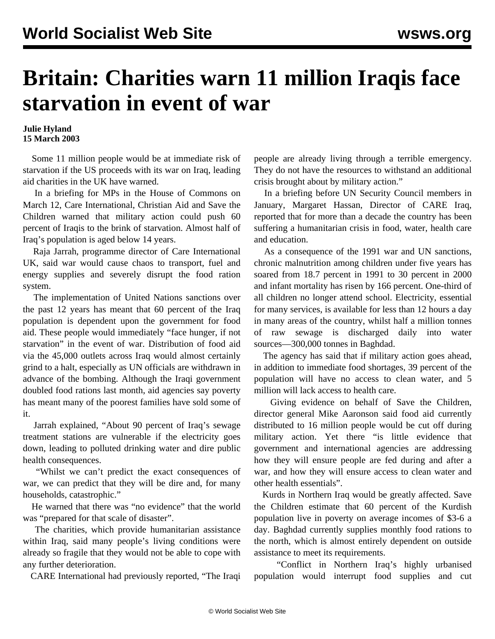## **Britain: Charities warn 11 million Iraqis face starvation in event of war**

## **Julie Hyland 15 March 2003**

 Some 11 million people would be at immediate risk of starvation if the US proceeds with its war on Iraq, leading aid charities in the UK have warned.

 In a briefing for MPs in the House of Commons on March 12, Care International, Christian Aid and Save the Children warned that military action could push 60 percent of Iraqis to the brink of starvation. Almost half of Iraq's population is aged below 14 years.

 Raja Jarrah, programme director of Care International UK, said war would cause chaos to transport, fuel and energy supplies and severely disrupt the food ration system.

 The implementation of United Nations sanctions over the past 12 years has meant that 60 percent of the Iraq population is dependent upon the government for food aid. These people would immediately "face hunger, if not starvation" in the event of war. Distribution of food aid via the 45,000 outlets across Iraq would almost certainly grind to a halt, especially as UN officials are withdrawn in advance of the bombing. Although the Iraqi government doubled food rations last month, aid agencies say poverty has meant many of the poorest families have sold some of it.

 Jarrah explained, "About 90 percent of Iraq's sewage treatment stations are vulnerable if the electricity goes down, leading to polluted drinking water and dire public health consequences.

 "Whilst we can't predict the exact consequences of war, we can predict that they will be dire and, for many households, catastrophic."

 He warned that there was "no evidence" that the world was "prepared for that scale of disaster".

 The charities, which provide humanitarian assistance within Iraq, said many people's living conditions were already so fragile that they would not be able to cope with any further deterioration.

CARE International had previously reported, "The Iraqi

people are already living through a terrible emergency. They do not have the resources to withstand an additional crisis brought about by military action."

 In a briefing before UN Security Council members in January, Margaret Hassan, Director of CARE Iraq, reported that for more than a decade the country has been suffering a humanitarian crisis in food, water, health care and education.

 As a consequence of the 1991 war and UN sanctions, chronic malnutrition among children under five years has soared from 18.7 percent in 1991 to 30 percent in 2000 and infant mortality has risen by 166 percent. One-third of all children no longer attend school. Electricity, essential for many services, is available for less than 12 hours a day in many areas of the country, whilst half a million tonnes of raw sewage is discharged daily into water sources—300,000 tonnes in Baghdad.

 The agency has said that if military action goes ahead, in addition to immediate food shortages, 39 percent of the population will have no access to clean water, and 5 million will lack access to health care.

 Giving evidence on behalf of Save the Children, director general Mike Aaronson said food aid currently distributed to 16 million people would be cut off during military action. Yet there "is little evidence that government and international agencies are addressing how they will ensure people are fed during and after a war, and how they will ensure access to clean water and other health essentials".

 Kurds in Northern Iraq would be greatly affected. Save the Children estimate that 60 percent of the Kurdish population live in poverty on average incomes of \$3-6 a day. Baghdad currently supplies monthly food rations to the north, which is almost entirely dependent on outside assistance to meet its requirements.

 "Conflict in Northern Iraq's highly urbanised population would interrupt food supplies and cut